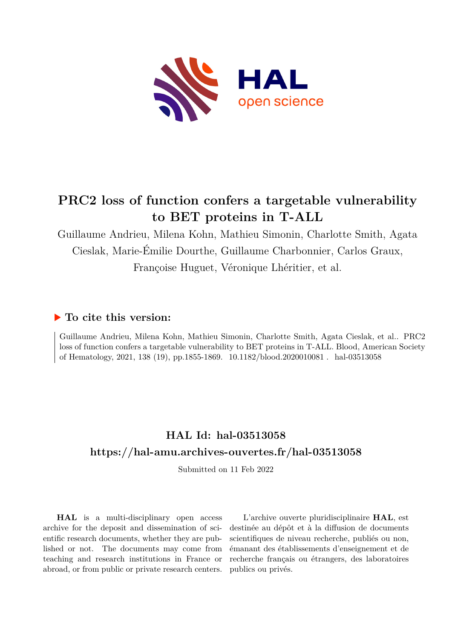

Guillaume Andrieu, Milena Kohn, Mathieu Simonin, Charlotte Smith, Agata Cieslak, Marie-Émilie Dourthe, Guillaume Charbonnier, Carlos Graux, Françoise Huguet, Véronique Lhéritier, et al.

### **To cite this version:**

Guillaume Andrieu, Milena Kohn, Mathieu Simonin, Charlotte Smith, Agata Cieslak, et al.. PRC2 loss of function confers a targetable vulnerability to BET proteins in T-ALL. Blood, American Society of Hematology, 2021, 138 (19), pp.1855-1869. 10.1182/blood.2020010081 . hal-03513058

## **HAL Id: hal-03513058 <https://hal-amu.archives-ouvertes.fr/hal-03513058>**

Submitted on 11 Feb 2022

**HAL** is a multi-disciplinary open access archive for the deposit and dissemination of scientific research documents, whether they are published or not. The documents may come from teaching and research institutions in France or abroad, or from public or private research centers.

L'archive ouverte pluridisciplinaire **HAL**, est destinée au dépôt et à la diffusion de documents scientifiques de niveau recherche, publiés ou non, émanant des établissements d'enseignement et de recherche français ou étrangers, des laboratoires publics ou privés.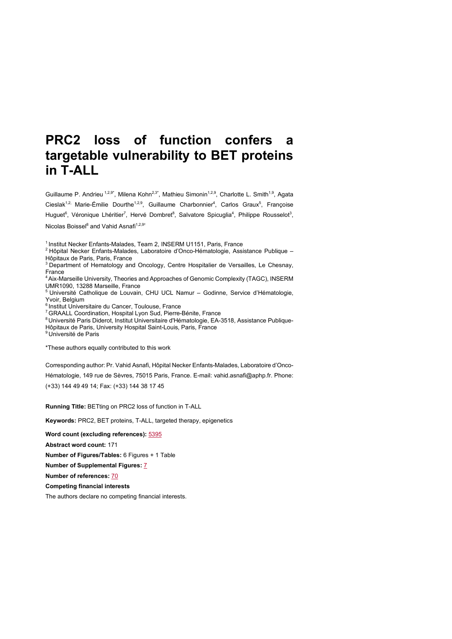Guillaume P. Andrieu <sup>1,2,9\*</sup>, Milena Kohn<sup>2,3\*</sup>, Mathieu Simonin<sup>1,2,9</sup>, Charlotte L. Smith<sup>1,9</sup>, Agata Cieslak<sup>1,2,</sup> Marie-Émilie Dourthe<sup>1,2,9</sup>, Guillaume Charbonnier<sup>4</sup>, Carlos Graux<sup>5</sup>, Françoise Huguet<sup>6</sup>, Véronique Lhéritier<sup>7</sup>, Hervé Dombret<sup>8</sup>, Salvatore Spicuglia<sup>4</sup>, Philippe Rousselot<sup>3</sup>, Nicolas Boissel<sup>8</sup> and Vahid Asnafi<sup>1,2,9+</sup>

<sup>1</sup> Institut Necker Enfants-Malades, Team 2, INSERM U1151, Paris, France

<sup>2</sup> Hôpital Necker Enfants-Malades, Laboratoire d'Onco-Hématologie, Assistance Publique – Hôpitaux de Paris, Paris, France

<sup>3</sup> Department of Hematology and Oncology, Centre Hospitalier de Versailles, Le Chesnay, France

4Aix-Marseille University, Theories and Approaches of Genomic Complexity (TAGC), INSERM UMR1090, 13288 Marseille, France

<sup>5</sup> Université Catholique de Louvain, CHU UCL Namur – Godinne, Service d'Hématologie, Yvoir, Belgium

<sup>6</sup> Institut Universitaire du Cancer, Toulouse, France

<sup>7</sup> GRAALL Coordination, Hospital Lyon Sud, Pierre-Bénite, France

<sup>8</sup> Université Paris Diderot, Institut Universitaire d'Hématologie, EA-3518, Assistance Publique-Hôpitaux de Paris, University Hospital Saint-Louis, Paris, France

<sup>9</sup> Université de Paris

\*These authors equally contributed to this work

Corresponding author: Pr. Vahid Asnafi, Hôpital Necker Enfants-Malades, Laboratoire d'Onco-

Hématologie, 149 rue de Sèvres, 75015 Paris, France. E-mail: vahid.asnafi@aphp.fr. Phone: (+33) 144 49 49 14; Fax: (+33) 144 38 17 45

**Running Title:** BETting on PRC2 loss of function in T-ALL

**Keywords:** PRC2, BET proteins, T-ALL, targeted therapy, epigenetics

**Word count (excluding references):** 5395

**Abstract word count:** 171

**Number of Figures/Tables:** 6 Figures + 1 Table

**Number of Supplemental Figures:** 7

**Number of references:** 70

**Competing financial interests**

The authors declare no competing financial interests.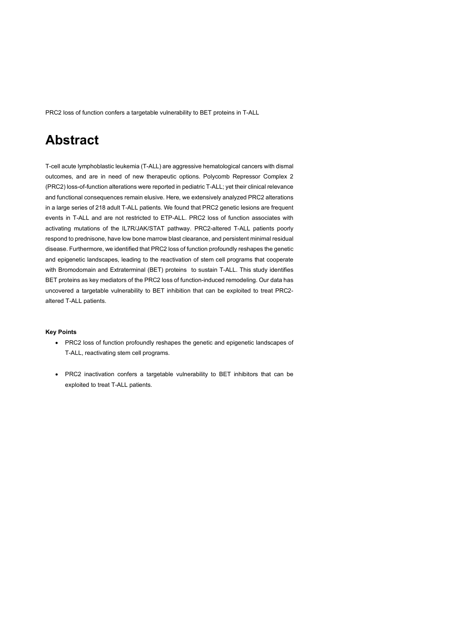## **Abstract**

T-cell acute lymphoblastic leukemia (T-ALL) are aggressive hematological cancers with dismal outcomes, and are in need of new therapeutic options. Polycomb Repressor Complex 2 (PRC2) loss-of-function alterations were reported in pediatric T-ALL; yet their clinical relevance and functional consequences remain elusive. Here, we extensively analyzed PRC2 alterations in a large series of 218 adult T-ALL patients. We found that PRC2 genetic lesions are frequent events in T-ALL and are not restricted to ETP-ALL. PRC2 loss of function associates with activating mutations of the IL7R/JAK/STAT pathway. PRC2-altered T-ALL patients poorly respond to prednisone, have low bone marrow blast clearance, and persistent minimal residual disease. Furthermore, we identified that PRC2 loss of function profoundly reshapes the genetic and epigenetic landscapes, leading to the reactivation of stem cell programs that cooperate with Bromodomain and Extraterminal (BET) proteins to sustain T-ALL. This study identifies BET proteins as key mediators of the PRC2 loss of function-induced remodeling. Our data has uncovered a targetable vulnerability to BET inhibition that can be exploited to treat PRC2 altered T-ALL patients.

#### **Key Points**

- PRC2 loss of function profoundly reshapes the genetic and epigenetic landscapes of T-ALL, reactivating stem cell programs.
- PRC2 inactivation confers a targetable vulnerability to BET inhibitors that can be exploited to treat T-ALL patients.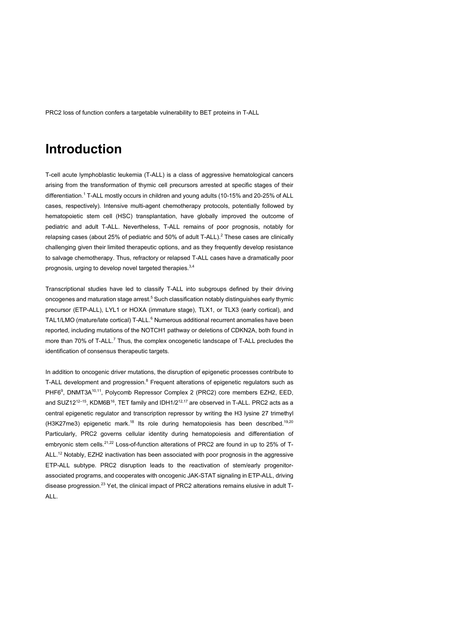## **Introduction**

T-cell acute lymphoblastic leukemia (T-ALL) is a class of aggressive hematological cancers arising from the transformation of thymic cell precursors arrested at specific stages of their differentiation. <sup>1</sup> T-ALL mostly occurs in children and young adults (10-15% and 20-25% of ALL cases, respectively). Intensive multi-agent chemotherapy protocols, potentially followed by hematopoietic stem cell (HSC) transplantation, have globally improved the outcome of pediatric and adult T-ALL. Nevertheless, T-ALL remains of poor prognosis, notably for relapsing cases (about 25% of pediatric and 50% of adult T-ALL).<sup>2</sup> These cases are clinically challenging given their limited therapeutic options, and as they frequently develop resistance to salvage chemotherapy. Thus, refractory or relapsed T-ALL cases have a dramatically poor prognosis, urging to develop novel targeted therapies.<sup>3,4</sup>

Transcriptional studies have led to classify T-ALL into subgroups defined by their driving oncogenes and maturation stage arrest.<sup>5</sup> Such classification notably distinguishes early thymic precursor (ETP-ALL), LYL1 or HOXA (immature stage), TLX1, or TLX3 (early cortical), and TAL1/LMO (mature/late cortical) T-ALL.<sup>6</sup> Numerous additional recurrent anomalies have been reported, including mutations of the NOTCH1 pathway or deletions of CDKN2A, both found in more than 70% of T-ALL.<sup>7</sup> Thus, the complex oncogenetic landscape of T-ALL precludes the identification of consensus therapeutic targets.

In addition to oncogenic driver mutations, the disruption of epigenetic processes contribute to T-ALL development and progression.<sup>8</sup> Frequent alterations of epigenetic regulators such as PHF6<sup>9</sup>, DNMT3A<sup>10,11</sup>, Polycomb Repressor Complex 2 (PRC2) core members EZH2, EED, and SUZ12<sup>12-15</sup>, KDM6B<sup>16</sup>, TET family and IDH1/2<sup>12,17</sup> are observed in T-ALL. PRC2 acts as a central epigenetic regulator and transcription repressor by writing the H3 lysine 27 trimethyl (H3K27me3) epigenetic mark.<sup>18</sup> Its role during hematopoiesis has been described.<sup>19,20</sup> Particularly, PRC2 governs cellular identity during hematopoiesis and differentiation of embryonic stem cells.<sup>21,22</sup> Loss-of-function alterations of PRC2 are found in up to 25% of T-ALL.<sup>12</sup> Notably, EZH2 inactivation has been associated with poor prognosis in the aggressive ETP-ALL subtype. PRC2 disruption leads to the reactivation of stem/early progenitorassociated programs, and cooperates with oncogenic JAK-STAT signaling in ETP-ALL, driving disease progression.<sup>23</sup> Yet, the clinical impact of PRC2 alterations remains elusive in adult T-ALL.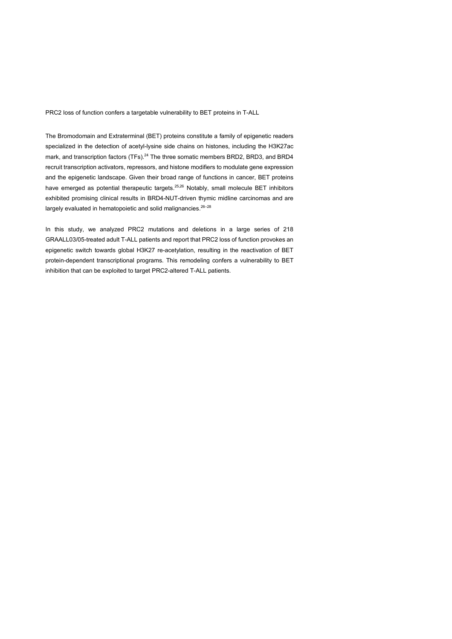The Bromodomain and Extraterminal (BET) proteins constitute a family of epigenetic readers specialized in the detection of acetyl-lysine side chains on histones, including the H3K27ac mark, and transcription factors (TFs).<sup>24</sup> The three somatic members BRD2, BRD3, and BRD4 recruit transcription activators, repressors, and histone modifiers to modulate gene expression and the epigenetic landscape. Given their broad range of functions in cancer, BET proteins have emerged as potential therapeutic targets.<sup>25,26</sup> Notably, small molecule BET inhibitors exhibited promising clinical results in BRD4-NUT-driven thymic midline carcinomas and are largely evaluated in hematopoietic and solid malignancies.<sup>26-28</sup>

In this study, we analyzed PRC2 mutations and deletions in a large series of 218 GRAALL03/05-treated adult T-ALL patients and report that PRC2 loss of function provokes an epigenetic switch towards global H3K27 re-acetylation, resulting in the reactivation of BET protein-dependent transcriptional programs. This remodeling confers a vulnerability to BET inhibition that can be exploited to target PRC2-altered T-ALL patients.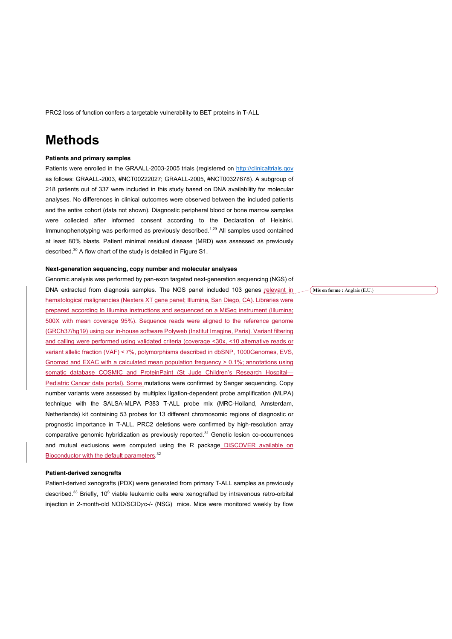### **Methods**

#### **Patients and primary samples**

Patients were enrolled in the GRAALL-2003-2005 trials (registered on http://clinicaltrials.gov as follows: GRAALL-2003, #NCT00222027; GRAALL-2005, #NCT00327678). A subgroup of 218 patients out of 337 were included in this study based on DNA availability for molecular analyses. No differences in clinical outcomes were observed between the included patients and the entire cohort (data not shown). Diagnostic peripheral blood or bone marrow samples were collected after informed consent according to the Declaration of Helsinki. Immunophenotyping was performed as previously described.<sup>1,29</sup> All samples used contained at least 80% blasts. Patient minimal residual disease (MRD) was assessed as previously described.<sup>30</sup> A flow chart of the study is detailed in Figure S1.

#### **Next-generation sequencing, copy number and molecular analyses**

Genomic analysis was performed by pan-exon targeted next-generation sequencing (NGS) of DNA extracted from diagnosis samples. The NGS panel included 103 genes relevant in hematological malignancies (Nextera XT gene panel; Illumina, San Diego, CA). Libraries were prepared according to Illumina instructions and sequenced on a MiSeq instrument (Illumina; 500X with mean coverage 95%). Sequence reads were aligned to the reference genome (GRCh37/hg19) using our in-house software Polyweb (Institut Imagine, Paris). Variant filtering and calling were performed using validated criteria (coverage <30x, <10 alternative reads or variant allelic fraction (VAF) < 7%, polymorphisms described in dbSNP, 1000Genomes, EVS, Gnomad and EXAC with a calculated mean population frequency > 0.1%; annotations using somatic database COSMIC and ProteinPaint (St Jude Children's Research Hospital-Pediatric Cancer data portal). Some mutations were confirmed by Sanger sequencing. Copy number variants were assessed by multiplex ligation-dependent probe amplification (MLPA) technique with the SALSA-MLPA P383 T-ALL probe mix (MRC-Holland, Amsterdam, Netherlands) kit containing 53 probes for 13 different chromosomic regions of diagnostic or prognostic importance in T-ALL. PRC2 deletions were confirmed by high-resolution array comparative genomic hybridization as previously reported.<sup>31</sup> Genetic lesion co-occurrences and mutual exclusions were computed using the R package DISCOVER available on Bioconductor with the default parameters.<sup>32</sup>

#### **Patient-derived xenografts**

Patient-derived xenografts (PDX) were generated from primary T-ALL samples as previously described.<sup>33</sup> Briefly, 10<sup>6</sup> viable leukemic cells were xenografted by intravenous retro-orbital injection in 2-month-old NOD/SCID $yc$ -/- (NSG) mice. Mice were monitored weekly by flow **Mis en forme :** Anglais (E.U.)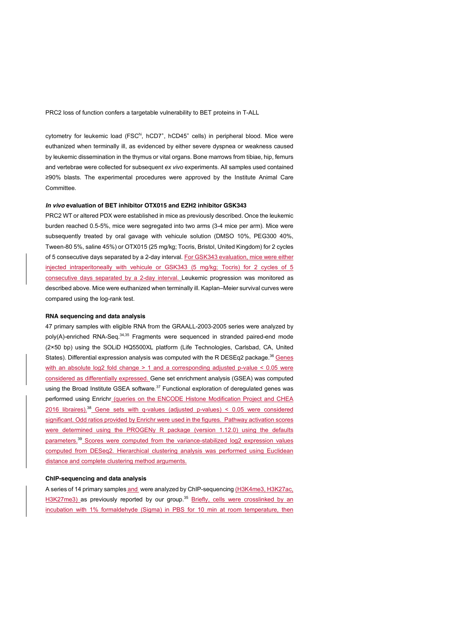cytometry for leukemic load (FSC<sup>hi</sup>, hCD7<sup>+</sup>, hCD45<sup>+</sup> cells) in peripheral blood. Mice were euthanized when terminally ill, as evidenced by either severe dyspnea or weakness caused by leukemic dissemination in the thymus or vital organs. Bone marrows from tibiae, hip, femurs and vertebrae were collected for subsequent *ex vivo* experiments. All samples used contained ≥90% blasts. The experimental procedures were approved by the Institute Animal Care Committee.

#### *In vivo* **evaluation of BET inhibitor OTX015 and EZH2 inhibitor GSK343**

PRC2 WT or altered PDX were established in mice as previously described. Once the leukemic burden reached 0.5-5%, mice were segregated into two arms (3-4 mice per arm). Mice were subsequently treated by oral gavage with vehicule solution (DMSO 10%, PEG300 40%, Tween-80 5%, saline 45%) or OTX015 (25 mg/kg; Tocris, Bristol, United Kingdom) for 2 cycles of 5 consecutive days separated by a 2-day interval. For GSK343 evaluation, mice were either injected intraperitoneally with vehicule or GSK343 (5 mg/kg; Tocris) for 2 cycles of 5 consecutive days separated by a 2-day interval. Leukemic progression was monitored as described above. Mice were euthanized when terminally ill. Kaplan–Meier survival curves were compared using the log-rank test.

#### **RNA sequencing and data analysis**

47 primary samples with eligible RNA from the GRAALL-2003-2005 series were analyzed by poly(A)-enriched RNA-Seq.<sup>34,35</sup> Fragments were sequenced in stranded paired-end mode (2×50 bp) using the SOLiD HQ5500XL platform (Life Technologies, Carlsbad, CA, United States). Differential expression analysis was computed with the R DESEq2 package.<sup>36</sup> Genes with an absolute log2 fold change > 1 and a corresponding adjusted p-value < 0.05 were considered as differentially expressed. Gene set enrichment analysis (GSEA) was computed using the Broad Institute GSEA software.<sup>37</sup> Functional exploration of deregulated genes was performed using Enrichr (queries on the ENCODE Histone Modification Project and CHEA 2016 libraires).<sup>38</sup> Gene sets with q-values (adjusted p-values) < 0.05 were considered significant. Odd ratios provided by Enrichr were used in the figures. Pathway activation scores were determined using the PROGENy R package (version 1.12.0) using the defaults parameters.<sup>39</sup> Scores were computed from the variance-stabilized log2 expression values computed from DESeq2. Hierarchical clustering analysis was performed using Euclidean distance and complete clustering method arguments.

#### **ChIP-sequencing and data analysis**

A series of 14 primary samples and were analyzed by ChIP-sequencing (H3K4me3, H3K27ac, H3K27me3) as previously reported by our group.<sup>35</sup> Briefly, cells were crosslinked by an incubation with 1% formaldehyde (Sigma) in PBS for 10 min at room temperature, then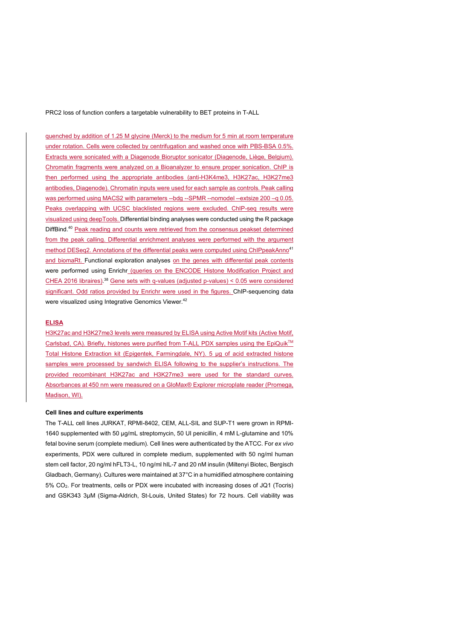quenched by addition of 1.25 M glycine (Merck) to the medium for 5 min at room temperature under rotation. Cells were collected by centrifugation and washed once with PBS-BSA 0.5%. Extracts were sonicated with a Diagenode Bioruptor sonicator (Diagenode, Liège, Belgium). Chromatin fragments were analyzed on a Bioanalyzer to ensure proper sonication. ChIP is then performed using the appropriate antibodies (anti-H3K4me3, H3K27ac, H3K27me3 antibodies, Diagenode). Chromatin inputs were used for each sample as controls. Peak calling was performed using MACS2 with parameters --bdg --SPMR --nomodel --extsize 200 –q 0.05. Peaks overlapping with UCSC blacklisted regions were excluded. ChIP-seq results were visualized using deepTools. Differential binding analyses were conducted using the R package DiffBind.<sup>40</sup> Peak reading and counts were retrieved from the consensus peakset determined from the peak calling. Differential enrichment analyses were performed with the argument method DESeq2. Annotations of the differential peaks were computed using ChIPpeakAnno<sup>41</sup> and biomaRt. Functional exploration analyses on the genes with differential peak contents were performed using Enrichr (queries on the ENCODE Histone Modification Project and CHEA 2016 libraires).<sup>38</sup> Gene sets with q-values (adjusted p-values) <  $0.05$  were considered significant. Odd ratios provided by Enrichr were used in the figures. ChIP-sequencing data were visualized using Integrative Genomics Viewer.<sup>42</sup>

### **ELISA**

H3K27ac and H3K27me3 levels were measured by ELISA using Active Motif kits (Active Motif, Carlsbad, CA). Briefly, histones were purified from T-ALL PDX samples using the EpiQuik<sup>™</sup> Total Histone Extraction kit (Epigentek, Farmingdale, NY). 5 µg of acid extracted histone samples were processed by sandwich ELISA following to the supplier's instructions. The provided recombinant H3K27ac and H3K27me3 were used for the standard curves. Absorbances at 450 nm were measured on a GloMax® Explorer microplate reader (Promega, Madison, WI).

#### **Cell lines and culture experiments**

The T-ALL cell lines JURKAT, RPMI-8402, CEM, ALL-SIL and SUP-T1 were grown in RPMI-1640 supplemented with 50 µg/mL streptomycin, 50 UI penicillin, 4 mM L-glutamine and 10% fetal bovine serum (complete medium). Cell lines were authenticated by the ATCC. For *ex vivo*  experiments, PDX were cultured in complete medium, supplemented with 50 ng/ml human stem cell factor, 20 ng/ml hFLT3-L, 10 ng/ml hIL-7 and 20 nM insulin (Miltenyi Biotec, Bergisch Gladbach, Germany). Cultures were maintained at 37°C in a humidified atmosphere containing 5% CO2. For treatments, cells or PDX were incubated with increasing doses of JQ1 (Tocris) and GSK343 3µM (Sigma-Aldrich, St-Louis, United States) for 72 hours. Cell viability was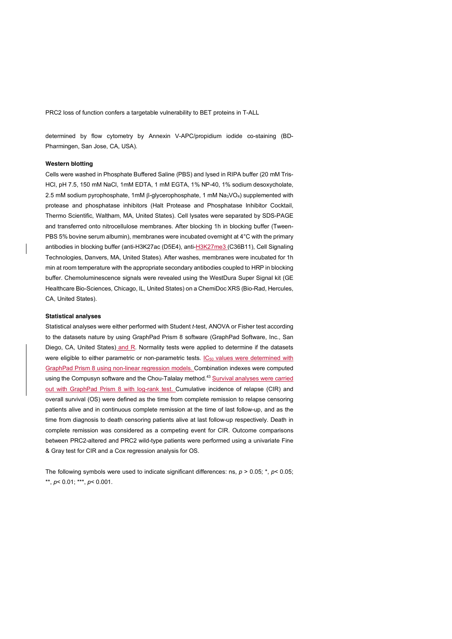determined by flow cytometry by Annexin V-APC/propidium iodide co-staining (BD-Pharmingen, San Jose, CA, USA).

#### **Western blotting**

Cells were washed in Phosphate Buffered Saline (PBS) and lysed in RIPA buffer (20 mM Tris-HCl, pH 7.5, 150 mM NaCl, 1mM EDTA, 1 mM EGTA, 1% NP-40, 1% sodium desoxycholate, 2.5 mM sodium pyrophosphate, 1mM β-glycerophosphate, 1 mM Na3VO4) supplemented with protease and phosphatase inhibitors (Halt Protease and Phosphatase Inhibitor Cocktail, Thermo Scientific, Waltham, MA, United States). Cell lysates were separated by SDS-PAGE and transferred onto nitrocellulose membranes. After blocking 1h in blocking buffer (Tween-PBS 5% bovine serum albumin), membranes were incubated overnight at 4°C with the primary antibodies in blocking buffer (anti-H3K27ac (D5E4), anti-H3K27me3 (C36B11), Cell Signaling Technologies, Danvers, MA, United States). After washes, membranes were incubated for 1h min at room temperature with the appropriate secondary antibodies coupled to HRP in blocking buffer. Chemoluminescence signals were revealed using the WestDura Super Signal kit (GE Healthcare Bio-Sciences, Chicago, IL, United States) on a ChemiDoc XRS (Bio-Rad, Hercules, CA, United States).

#### **Statistical analyses**

Statistical analyses were either performed with Student *t*-test, ANOVA or Fisher test according to the datasets nature by using GraphPad Prism 8 software (GraphPad Software, Inc., San Diego, CA, United States) and R. Normality tests were applied to determine if the datasets were eligible to either parametric or non-parametric tests. IC<sub>50</sub> values were determined with GraphPad Prism 8 using non-linear regression models. Combination indexes were computed using the Compusyn software and the Chou-Talalay method.<sup>43</sup> Survival analyses were carried out with GraphPad Prism 8 with log-rank test. Cumulative incidence of relapse (CIR) and overall survival (OS) were defined as the time from complete remission to relapse censoring patients alive and in continuous complete remission at the time of last follow-up, and as the time from diagnosis to death censoring patients alive at last follow-up respectively. Death in complete remission was considered as a competing event for CIR. Outcome comparisons between PRC2-altered and PRC2 wild-type patients were performed using a univariate Fine & Gray test for CIR and a Cox regression analysis for OS.

The following symbols were used to indicate significant differences: ns, *p* > 0.05; \*, *p*< 0.05; \*\*, *p*< 0.01; \*\*\*, *p*< 0.001.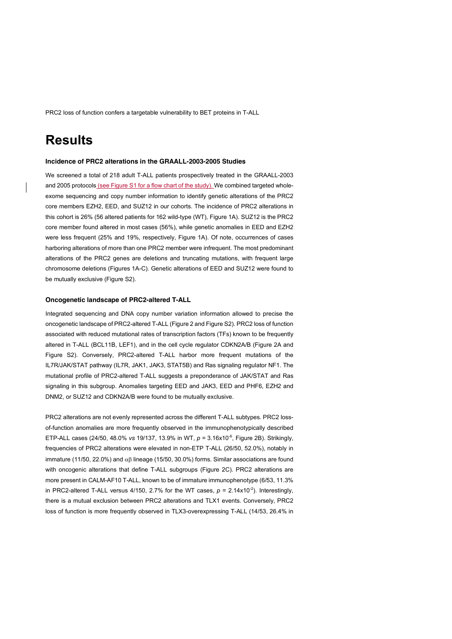## **Results**

#### **Incidence of PRC2 alterations in the GRAALL-2003-2005 Studies**

We screened a total of 218 adult T-ALL patients prospectively treated in the GRAALL-2003 and 2005 protocols (see Figure S1 for a flow chart of the study). We combined targeted wholeexome sequencing and copy number information to identify genetic alterations of the PRC2 core members EZH2, EED, and SUZ12 in our cohorts. The incidence of PRC2 alterations in this cohort is 26% (56 altered patients for 162 wild-type (WT), Figure 1A). SUZ12 is the PRC2 core member found altered in most cases (56%), while genetic anomalies in EED and EZH2 were less frequent (25% and 19%, respectively, Figure 1A). Of note, occurrences of cases harboring alterations of more than one PRC2 member were infrequent. The most predominant alterations of the PRC2 genes are deletions and truncating mutations, with frequent large chromosome deletions (Figures 1A-C). Genetic alterations of EED and SUZ12 were found to be mutually exclusive (Figure S2).

#### **Oncogenetic landscape of PRC2-altered T-ALL**

Integrated sequencing and DNA copy number variation information allowed to precise the oncogenetic landscape of PRC2-altered T-ALL (Figure 2 and Figure S2). PRC2 loss of function associated with reduced mutational rates of transcription factors (TFs) known to be frequently altered in T-ALL (BCL11B, LEF1), and in the cell cycle regulator CDKN2A/B (Figure 2A and Figure S2). Conversely, PRC2-altered T-ALL harbor more frequent mutations of the IL7R/JAK/STAT pathway (IL7R, JAK1, JAK3, STAT5B) and Ras signaling regulator NF1. The mutational profile of PRC2-altered T-ALL suggests a preponderance of JAK/STAT and Ras signaling in this subgroup. Anomalies targeting EED and JAK3, EED and PHF6, EZH2 and DNM2, or SUZ12 and CDKN2A/B were found to be mutually exclusive.

PRC2 alterations are not evenly represented across the different T-ALL subtypes. PRC2 lossof-function anomalies are more frequently observed in the immunophenotypically described ETP-ALL cases (24/50, 48.0% *vs* 19/137, 13.9% in WT, *p =* 3.16x10-6 , Figure 2B). Strikingly, frequencies of PRC2 alterations were elevated in non-ETP T-ALL (26/50, 52.0%), notably in immature (11/50, 22.0%) and  $\alpha\beta$  lineage (15/50, 30.0%) forms. Similar associations are found with oncogenic alterations that define T-ALL subgroups (Figure 2C). PRC2 alterations are more present in CALM-AF10 T-ALL, known to be of immature immunophenotype (6/53, 11.3% in PRC2-altered T-ALL versus 4/150, 2.7% for the WT cases,  $p = 2.14 \times 10^{-2}$ ). Interestingly, there is a mutual exclusion between PRC2 alterations and TLX1 events. Conversely, PRC2 loss of function is more frequently observed in TLX3-overexpressing T-ALL (14/53, 26.4% in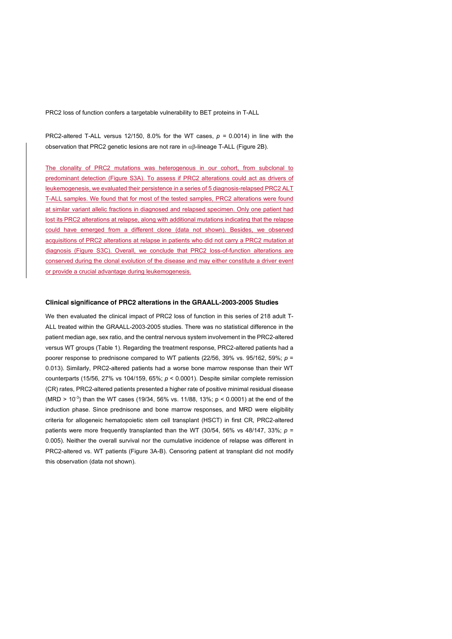PRC2-altered T-ALL versus 12/150, 8.0% for the WT cases,  $p = 0.0014$ ) in line with the observation that PRC2 genetic lesions are not rare in  $\alpha\beta$ -lineage T-ALL (Figure 2B).

The clonality of PRC2 mutations was heterogenous in our cohort, from subclonal to predominant detection (Figure S3A). To assess if PRC2 alterations could act as drivers of leukemogenesis, we evaluated their persistence in a series of 5 diagnosis-relapsed PRC2 ALT T-ALL samples. We found that for most of the tested samples, PRC2 alterations were found at similar variant allelic fractions in diagnosed and relapsed specimen. Only one patient had lost its PRC2 alterations at relapse, along with additional mutations indicating that the relapse could have emerged from a different clone (data not shown). Besides, we observed acquisitions of PRC2 alterations at relapse in patients who did not carry a PRC2 mutation at diagnosis (Figure S3C). Overall, we conclude that PRC2 loss-of-function alterations are conserved during the clonal evolution of the disease and may either constitute a driver event or provide a crucial advantage during leukemogenesis.

#### **Clinical significance of PRC2 alterations in the GRAALL-2003-2005 Studies**

We then evaluated the clinical impact of PRC2 loss of function in this series of 218 adult T-ALL treated within the GRAALL-2003-2005 studies. There was no statistical difference in the patient median age, sex ratio, and the central nervous system involvement in the PRC2-altered versus WT groups (Table 1). Regarding the treatment response, PRC2-altered patients had a poorer response to prednisone compared to WT patients (22/56, 39% vs. 95/162, 59%; *p* = 0.013). Similarly, PRC2-altered patients had a worse bone marrow response than their WT counterparts (15/56, 27% vs 104/159, 65%; *p* < 0.0001). Despite similar complete remission (CR) rates, PRC2-altered patients presented a higher rate of positive minimal residual disease (MRD >  $10^{-3}$ ) than the WT cases (19/34, 56% vs. 11/88, 13%; p < 0.0001) at the end of the induction phase. Since prednisone and bone marrow responses, and MRD were eligibility criteria for allogeneic hematopoietic stem cell transplant (HSCT) in first CR, PRC2-altered patients were more frequently transplanted than the WT (30/54, 56% vs 48/147, 33%;  $p =$ 0.005). Neither the overall survival nor the cumulative incidence of relapse was different in PRC2-altered vs. WT patients (Figure 3A-B). Censoring patient at transplant did not modify this observation (data not shown).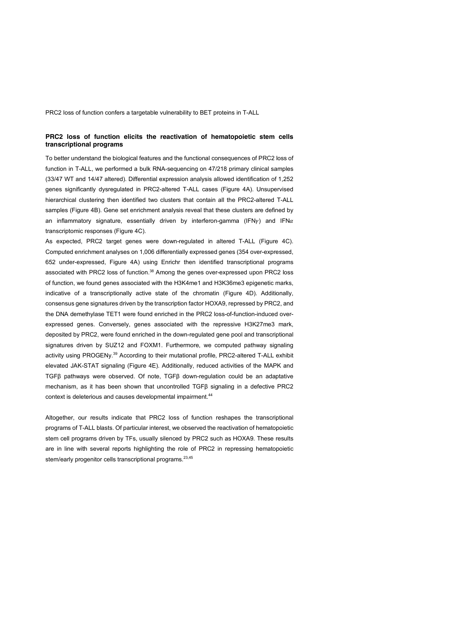### **PRC2 loss of function elicits the reactivation of hematopoietic stem cells transcriptional programs**

To better understand the biological features and the functional consequences of PRC2 loss of function in T-ALL, we performed a bulk RNA-sequencing on 47/218 primary clinical samples (33/47 WT and 14/47 altered). Differential expression analysis allowed identification of 1,252 genes significantly dysregulated in PRC2-altered T-ALL cases (Figure 4A). Unsupervised hierarchical clustering then identified two clusters that contain all the PRC2-altered T-ALL samples (Figure 4B). Gene set enrichment analysis reveal that these clusters are defined by an inflammatory signature, essentially driven by interferon-gamma (IFN<sub>Y</sub>) and IFN $\alpha$ transcriptomic responses (Figure 4C).

As expected, PRC2 target genes were down-regulated in altered T-ALL (Figure 4C). Computed enrichment analyses on 1,006 differentially expressed genes (354 over-expressed, 652 under-expressed, Figure 4A) using Enrichr then identified transcriptional programs associated with PRC2 loss of function.<sup>38</sup> Among the genes over-expressed upon PRC2 loss of function, we found genes associated with the H3K4me1 and H3K36me3 epigenetic marks, indicative of a transcriptionally active state of the chromatin (Figure 4D). Additionally, consensus gene signatures driven by the transcription factor HOXA9, repressed by PRC2, and the DNA demethylase TET1 were found enriched in the PRC2 loss-of-function-induced overexpressed genes. Conversely, genes associated with the repressive H3K27me3 mark, deposited by PRC2, were found enriched in the down-regulated gene pool and transcriptional signatures driven by SUZ12 and FOXM1. Furthermore, we computed pathway signaling activity using PROGENy.<sup>39</sup> According to their mutational profile, PRC2-altered T-ALL exhibit elevated JAK-STAT signaling (Figure 4E). Additionally, reduced activities of the MAPK and TGFβ pathways were observed. Of note, TGFβ down-regulation could be an adaptative mechanism, as it has been shown that uncontrolled TGFβ signaling in a defective PRC2 context is deleterious and causes developmental impairment.<sup>44</sup>

Altogether, our results indicate that PRC2 loss of function reshapes the transcriptional programs of T-ALL blasts. Of particular interest, we observed the reactivation of hematopoietic stem cell programs driven by TFs, usually silenced by PRC2 such as HOXA9. These results are in line with several reports highlighting the role of PRC2 in repressing hematopoietic stem/early progenitor cells transcriptional programs.<sup>23,45</sup>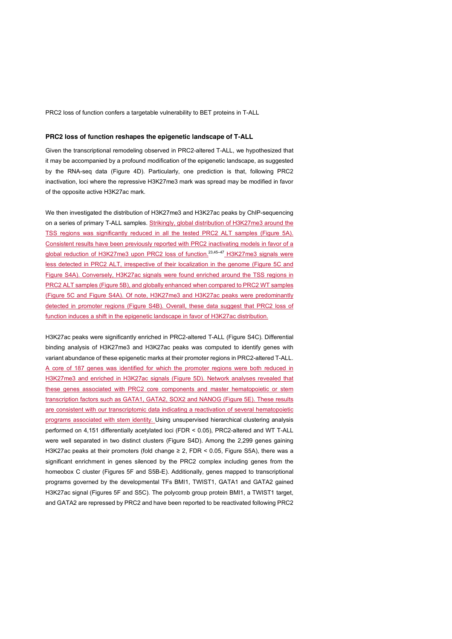#### **PRC2 loss of function reshapes the epigenetic landscape of T-ALL**

Given the transcriptional remodeling observed in PRC2-altered T-ALL, we hypothesized that it may be accompanied by a profound modification of the epigenetic landscape, as suggested by the RNA-seq data (Figure 4D). Particularly, one prediction is that, following PRC2 inactivation, loci where the repressive H3K27me3 mark was spread may be modified in favor of the opposite active H3K27ac mark.

We then investigated the distribution of H3K27me3 and H3K27ac peaks by ChIP-sequencing on a series of primary T-ALL samples. Strikingly, global distribution of H3K27me3 around the TSS regions was significantly reduced in all the tested PRC2 ALT samples (Figure 5A). Consistent results have been previously reported with PRC2 inactivating models in favor of a global reduction of H3K27me3 upon PRC2 loss of function.<sup>23,45-47</sup> H3K27me3 signals were less detected in PRC2 ALT, irrespective of their localization in the genome (Figure 5C and Figure S4A). Conversely, H3K27ac signals were found enriched around the TSS regions in PRC2 ALT samples (Figure 5B), and globally enhanced when compared to PRC2 WT samples (Figure 5C and Figure S4A). Of note, H3K27me3 and H3K27ac peaks were predominantly detected in promoter regions (Figure S4B). Overall, these data suggest that PRC2 loss of function induces a shift in the epigenetic landscape in favor of H3K27ac distribution.

H3K27ac peaks were significantly enriched in PRC2-altered T-ALL (Figure S4C). Differential binding analysis of H3K27me3 and H3K27ac peaks was computed to identify genes with variant abundance of these epigenetic marks at their promoter regions in PRC2-altered T-ALL. A core of 187 genes was identified for which the promoter regions were both reduced in H3K27me3 and enriched in H3K27ac signals (Figure 5D). Network analyses revealed that these genes associated with PRC2 core components and master hematopoietic or stem transcription factors such as GATA1, GATA2, SOX2 and NANOG (Figure 5E). These results are consistent with our transcriptomic data indicating a reactivation of several hematopoietic programs associated with stem identity. Using unsupervised hierarchical clustering analysis performed on 4,151 differentially acetylated loci (FDR < 0.05), PRC2-altered and WT T-ALL were well separated in two distinct clusters (Figure S4D). Among the 2,299 genes gaining H3K27ac peaks at their promoters (fold change ≥ 2, FDR < 0.05, Figure S5A), there was a significant enrichment in genes silenced by the PRC2 complex including genes from the homeobox C cluster (Figures 5F and S5B-E). Additionally, genes mapped to transcriptional programs governed by the developmental TFs BMI1, TWIST1, GATA1 and GATA2 gained H3K27ac signal (Figures 5F and S5C). The polycomb group protein BMI1, a TWIST1 target, and GATA2 are repressed by PRC2 and have been reported to be reactivated following PRC2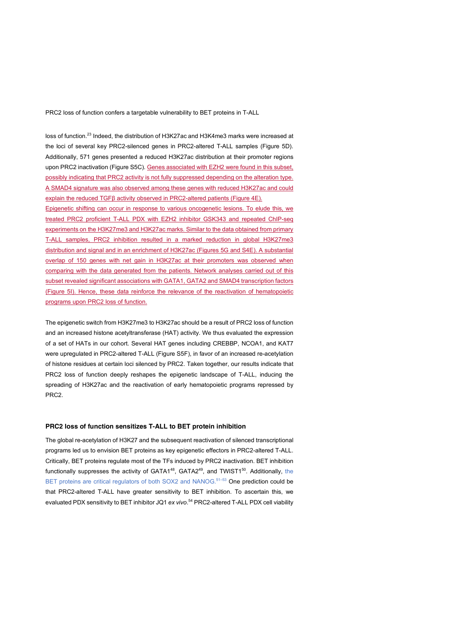loss of function.<sup>23</sup> Indeed, the distribution of H3K27ac and H3K4me3 marks were increased at the loci of several key PRC2-silenced genes in PRC2-altered T-ALL samples (Figure 5D). Additionally, 571 genes presented a reduced H3K27ac distribution at their promoter regions upon PRC2 inactivation (Figure S5C). Genes associated with EZH2 were found in this subset, possibly indicating that PRC2 activity is not fully suppressed depending on the alteration type. A SMAD4 signature was also observed among these genes with reduced H3K27ac and could explain the reduced TGFβ activity observed in PRC2-altered patients (Figure 4E). Epigenetic shifting can occur in response to various oncogenetic lesions. To elude this, we treated PRC2 proficient T-ALL PDX with EZH2 inhibitor GSK343 and repeated ChIP-seq

experiments on the H3K27me3 and H3K27ac marks. Similar to the data obtained from primary T-ALL samples, PRC2 inhibition resulted in a marked reduction in global H3K27me3 distribution and signal and in an enrichment of H3K27ac (Figures 5G and S4E). A substantial overlap of 150 genes with net gain in H3K27ac at their promoters was observed when comparing with the data generated from the patients. Network analyses carried out of this subset revealed significant associations with GATA1, GATA2 and SMAD4 transcription factors (Figure 5I). Hence, these data reinforce the relevance of the reactivation of hematopoietic programs upon PRC2 loss of function.

The epigenetic switch from H3K27me3 to H3K27ac should be a result of PRC2 loss of function and an increased histone acetyltransferase (HAT) activity. We thus evaluated the expression of a set of HATs in our cohort. Several HAT genes including CREBBP, NCOA1, and KAT7 were upregulated in PRC2-altered T-ALL (Figure S5F), in favor of an increased re-acetylation of histone residues at certain loci silenced by PRC2. Taken together, our results indicate that PRC2 loss of function deeply reshapes the epigenetic landscape of T-ALL, inducing the spreading of H3K27ac and the reactivation of early hematopoietic programs repressed by PRC2.

#### **PRC2 loss of function sensitizes T-ALL to BET protein inhibition**

The global re-acetylation of H3K27 and the subsequent reactivation of silenced transcriptional programs led us to envision BET proteins as key epigenetic effectors in PRC2-altered T-ALL. Critically, BET proteins regulate most of the TFs induced by PRC2 inactivation. BET inhibition functionally suppresses the activity of  $GATA^{48}$ ,  $GATA^{49}$ , and TWIST1<sup>50</sup>. Additionally, the BET proteins are critical regulators of both SOX2 and NANOG.<sup>51-53</sup> One prediction could be that PRC2-altered T-ALL have greater sensitivity to BET inhibition. To ascertain this, we evaluated PDX sensitivity to BET inhibitor JQ1 *ex vivo*. <sup>54</sup> PRC2-altered T-ALL PDX cell viability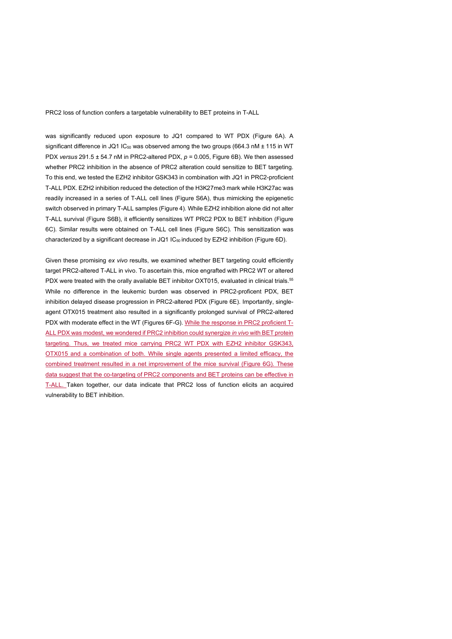was significantly reduced upon exposure to JQ1 compared to WT PDX (Figure 6A). A significant difference in JQ1 IC<sub>50</sub> was observed among the two groups (664.3 nM  $\pm$  115 in WT PDX *versus* 291.5 ± 54.7 nM in PRC2-altered PDX, *p* = 0.005, Figure 6B). We then assessed whether PRC2 inhibition in the absence of PRC2 alteration could sensitize to BET targeting. To this end, we tested the EZH2 inhibitor GSK343 in combination with JQ1 in PRC2-proficient T-ALL PDX. EZH2 inhibition reduced the detection of the H3K27me3 mark while H3K27ac was readily increased in a series of T-ALL cell lines (Figure S6A), thus mimicking the epigenetic switch observed in primary T-ALL samples (Figure 4). While EZH2 inhibition alone did not alter T-ALL survival (Figure S6B), it efficiently sensitizes WT PRC2 PDX to BET inhibition (Figure 6C). Similar results were obtained on T-ALL cell lines (Figure S6C). This sensitization was characterized by a significant decrease in JQ1 IC<sub>50</sub> induced by EZH2 inhibition (Figure 6D).

Given these promising *ex vivo* results, we examined whether BET targeting could efficiently target PRC2-altered T-ALL in vivo. To ascertain this, mice engrafted with PRC2 WT or altered PDX were treated with the orally available BET inhibitor OXT015, evaluated in clinical trials.<sup>55</sup> While no difference in the leukemic burden was observed in PRC2-proficent PDX, BET inhibition delayed disease progression in PRC2-altered PDX (Figure 6E). Importantly, singleagent OTX015 treatment also resulted in a significantly prolonged survival of PRC2-altered PDX with moderate effect in the WT (Figures 6F-G). While the response in PRC2 proficient T-ALL PDX was modest, we wondered if PRC2 inhibition could synergize *in vivo* with BET protein targeting. Thus, we treated mice carrying PRC2 WT PDX with EZH2 inhibitor GSK343, OTX015 and a combination of both. While single agents presented a limited efficacy, the combined treatment resulted in a net improvement of the mice survival (Figure 6G). These data suggest that the co-targeting of PRC2 components and BET proteins can be effective in T-ALL. Taken together, our data indicate that PRC2 loss of function elicits an acquired vulnerability to BET inhibition.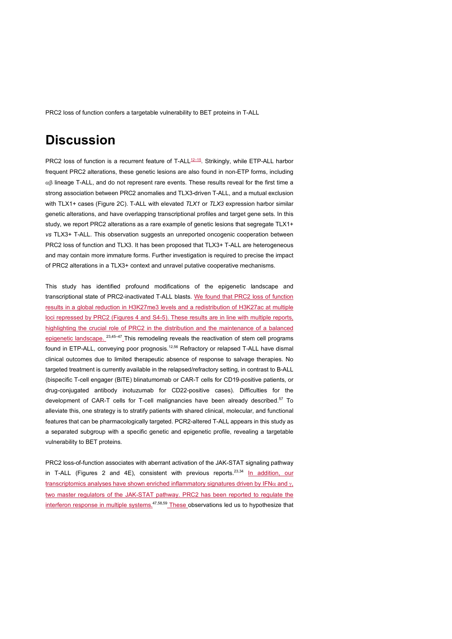### **Discussion**

PRC2 loss of function is a recurrent feature of T-ALL<sup>12-15</sup>. Strikingly, while ETP-ALL harbor frequent PRC2 alterations, these genetic lesions are also found in non-ETP forms, including  $\alpha\beta$  lineage T-ALL, and do not represent rare events. These results reveal for the first time a strong association between PRC2 anomalies and TLX3-driven T-ALL, and a mutual exclusion with TLX1+ cases (Figure 2C). T-ALL with elevated *TLX1* or *TLX3* expression harbor similar genetic alterations, and have overlapping transcriptional profiles and target gene sets. In this study, we report PRC2 alterations as a rare example of genetic lesions that segregate TLX1+ *vs* TLX3+ T-ALL. This observation suggests an unreported oncogenic cooperation between PRC2 loss of function and TLX3. It has been proposed that TLX3+ T-ALL are heterogeneous and may contain more immature forms. Further investigation is required to precise the impact of PRC2 alterations in a TLX3+ context and unravel putative cooperative mechanisms.

This study has identified profound modifications of the epigenetic landscape and transcriptional state of PRC2-inactivated T-ALL blasts. We found that PRC2 loss of function results in a global reduction in H3K27me3 levels and a redistribution of H3K27ac at multiple loci repressed by PRC2 (Figures 4 and S4-5). These results are in line with multiple reports, highlighting the crucial role of PRC2 in the distribution and the maintenance of a balanced epigenetic landscape.  $23,45-47$  This remodeling reveals the reactivation of stem cell programs found in ETP-ALL, conveying poor prognosis.<sup>12,56</sup> Refractory or relapsed T-ALL have dismal clinical outcomes due to limited therapeutic absence of response to salvage therapies. No targeted treatment is currently available in the relapsed/refractory setting, in contrast to B-ALL (bispecific T-cell engager (BiTE) blinatumomab or CAR-T cells for CD19-positive patients, or drug-conjugated antibody inotuzumab for CD22-positive cases). Difficulties for the development of CAR-T cells for T-cell malignancies have been already described.<sup>57</sup> To alleviate this, one strategy is to stratify patients with shared clinical, molecular, and functional features that can be pharmacologically targeted. PCR2-altered T-ALL appears in this study as a separated subgroup with a specific genetic and epigenetic profile, revealing a targetable vulnerability to BET proteins.

PRC2 loss-of-function associates with aberrant activation of the JAK-STAT signaling pathway in T-ALL (Figures 2 and 4E), consistent with previous reports.<sup>23,34</sup> In addition, our transcriptomics analyses have shown enriched inflammatory signatures driven by IFN $\alpha$  and  $\gamma$ , two master regulators of the JAK-STAT pathway. PRC2 has been reported to regulate the interferon response in multiple systems. $47,58,59$  These observations led us to hypothesize that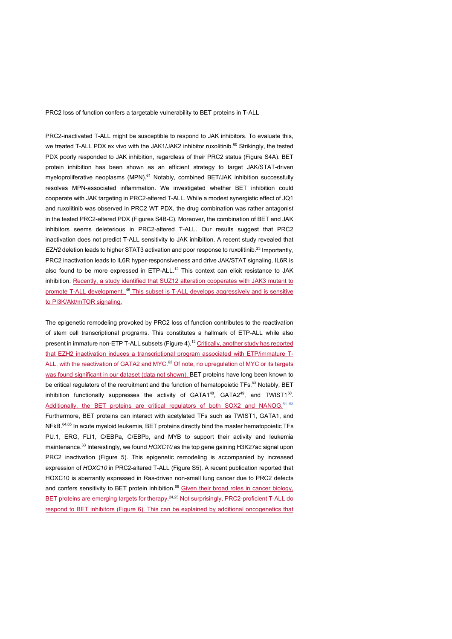PRC2-inactivated T-ALL might be susceptible to respond to JAK inhibitors. To evaluate this, we treated T-ALL PDX ex vivo with the JAK1/JAK2 inhibitor ruxolitinib.<sup>60</sup> Strikingly, the tested PDX poorly responded to JAK inhibition, regardless of their PRC2 status (Figure S4A). BET protein inhibition has been shown as an efficient strategy to target JAK/STAT-driven myeloproliferative neoplasms (MPN).<sup>61</sup> Notably, combined BET/JAK inhibition successfully resolves MPN-associated inflammation. We investigated whether BET inhibition could cooperate with JAK targeting in PRC2-altered T-ALL. While a modest synergistic effect of JQ1 and ruxolitinib was observed in PRC2 WT PDX, the drug combination was rather antagonist in the tested PRC2-altered PDX (Figures S4B-C). Moreover, the combination of BET and JAK inhibitors seems deleterious in PRC2-altered T-ALL. Our results suggest that PRC2 inactivation does not predict T-ALL sensitivity to JAK inhibition. A recent study revealed that *EZH2* deletion leads to higher STAT3 activation and poor response to ruxolitinib.<sup>23</sup> Importantly, PRC2 inactivation leads to IL6R hyper-responsiveness and drive JAK/STAT signaling. IL6R is also found to be more expressed in ETP-ALL.<sup>12</sup> This context can elicit resistance to JAK inhibition. Recently, a study identified that SUZ12 alteration cooperates with JAK3 mutant to promote T-ALL development. <sup>45</sup> This subset is T-ALL develops aggressively and is sensitive to PI3K/Akt/mTOR signaling.

The epigenetic remodeling provoked by PRC2 loss of function contributes to the reactivation of stem cell transcriptional programs. This constitutes a hallmark of ETP-ALL while also present in immature non-ETP T-ALL subsets (Figure 4).<sup>12</sup> Critically, another study has reported that EZH2 inactivation induces a transcriptional program associated with ETP/immature T-ALL, with the reactivation of GATA2 and MYC.<sup>62</sup> Of note, no upregulation of MYC or its targets was found significant in our dataset (data not shown). BET proteins have long been known to be critical regulators of the recruitment and the function of hematopoietic TFs.<sup>63</sup> Notably, BET inhibition functionally suppresses the activity of  $GATA^{48}$ ,  $GATA^{49}$ , and TWIST1<sup>50</sup>. Additionally, the BET proteins are critical regulators of both SOX2 and NANOG.<sup>51–53</sup> Furthermore, BET proteins can interact with acetylated TFs such as TWIST1, GATA1, and NFkB.<sup>64,65</sup> In acute myeloid leukemia, BET proteins directly bind the master hematopoietic TFs PU.1, ERG, FLI1, C/EBPa, C/EBPb, and MYB to support their activity and leukemia maintenance.<sup>63</sup> Interestingly, we found *HOXC10* as the top gene gaining H3K27ac signal upon PRC2 inactivation (Figure 5). This epigenetic remodeling is accompanied by increased expression of *HOXC10* in PRC2-altered T-ALL (Figure S5). A recent publication reported that HOXC10 is aberrantly expressed in Ras-driven non-small lung cancer due to PRC2 defects and confers sensitivity to BET protein inhibition.<sup>66</sup> Given their broad roles in cancer biology, BET proteins are emerging targets for therapy.<sup>24,25</sup> Not surprisingly, PRC2-proficient T-ALL do respond to BET inhibitors (Figure 6). This can be explained by additional oncogenetics that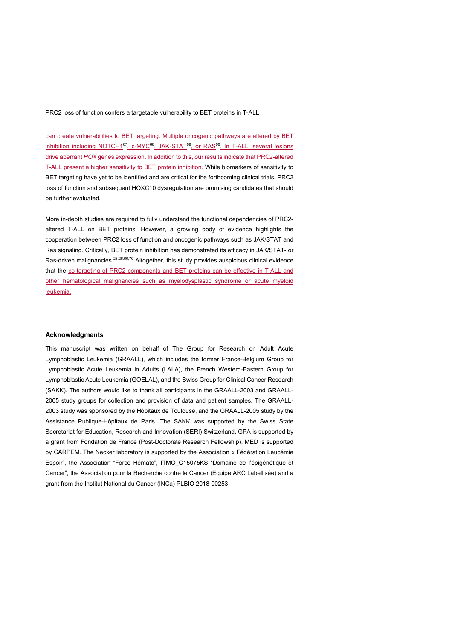can create vulnerabilities to BET targeting. Multiple oncogenic pathways are altered by BET inhibition including NOTCH1<sup>67</sup>, c-MYC<sup>68</sup>, JAK-STAT<sup>69</sup>, or RAS<sup>66</sup>. In T-ALL, several lesions drive aberrant *HOX* genes expression. In addition to this, our results indicate that PRC2-altered T-ALL present a higher sensitivity to BET protein inhibition. While biomarkers of sensitivity to BET targeting have yet to be identified and are critical for the forthcoming clinical trials, PRC2 loss of function and subsequent HOXC10 dysregulation are promising candidates that should be further evaluated.

More in-depth studies are required to fully understand the functional dependencies of PRC2 altered T-ALL on BET proteins. However, a growing body of evidence highlights the cooperation between PRC2 loss of function and oncogenic pathways such as JAK/STAT and Ras signaling. Critically, BET protein inhibition has demonstrated its efficacy in JAK/STAT- or Ras-driven malignancies.<sup>23,26,66,70</sup> Altogether, this study provides auspicious clinical evidence that the co-targeting of PRC2 components and BET proteins can be effective in T-ALL and other hematological malignancies such as myelodysplastic syndrome or acute myeloid leukemia.

#### **Acknowledgments**

This manuscript was written on behalf of The Group for Research on Adult Acute Lymphoblastic Leukemia (GRAALL), which includes the former France-Belgium Group for Lymphoblastic Acute Leukemia in Adults (LALA), the French Western-Eastern Group for Lymphoblastic Acute Leukemia (GOELAL), and the Swiss Group for Clinical Cancer Research (SAKK). The authors would like to thank all participants in the GRAALL-2003 and GRAALL-2005 study groups for collection and provision of data and patient samples. The GRAALL-2003 study was sponsored by the Hôpitaux de Toulouse, and the GRAALL-2005 study by the Assistance Publique-Hôpitaux de Paris. The SAKK was supported by the Swiss State Secretariat for Education, Research and Innovation (SERI) Switzerland. GPA is supported by a grant from Fondation de France (Post-Doctorate Research Fellowship). MED is supported by CARPEM. The Necker laboratory is supported by the Association « Fédération Leucémie Espoir", the Association "Force Hémato", ITMO\_C15075KS "Domaine de l'épigénétique et Cancer", the Association pour la Recherche contre le Cancer (Equipe ARC Labellisée) and a grant from the Institut National du Cancer (INCa) PLBIO 2018-00253.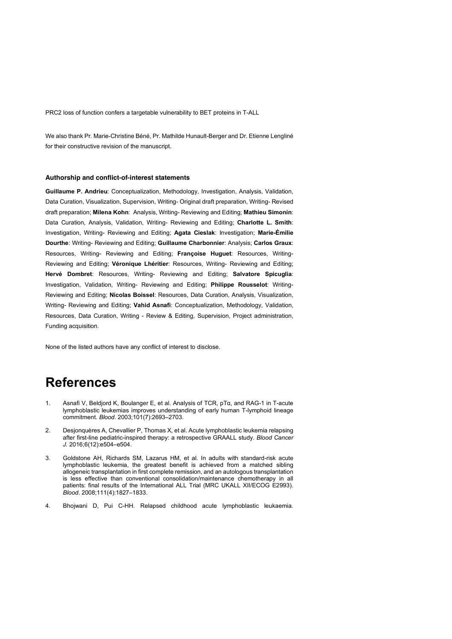We also thank Pr. Marie-Christine Béné, Pr. Mathilde Hunault-Berger and Dr. Etienne Lengliné for their constructive revision of the manuscript.

#### **Authorship and conflict-of-interest statements**

**Guillaume P. Andrieu**: Conceptualization, Methodology, Investigation, Analysis, Validation, Data Curation, Visualization, Supervision, Writing- Original draft preparation, Writing- Revised draft preparation; **Milena Kohn**: Analysis, Writing- Reviewing and Editing; **Mathieu Simonin**: Data Curation, Analysis, Validation, Writing- Reviewing and Editing; **Charlotte L. Smith**: Investigation, Writing- Reviewing and Editing; **Agata Cieslak**: Investigation; **Marie-Émilie Dourthe**: Writing- Reviewing and Editing; **Guillaume Charbonnier**: Analysis; **Carlos Graux**: Resources, Writing- Reviewing and Editing; **Françoise Huguet**: Resources, Writing-Reviewing and Editing; **Véronique Lhéritier**: Resources, Writing- Reviewing and Editing; **Hervé Dombret**: Resources, Writing- Reviewing and Editing; **Salvatore Spicuglia**: Investigation, Validation, Writing- Reviewing and Editing; **Philippe Rousselot**: Writing-Reviewing and Editing; **Nicolas Boissel**: Resources, Data Curation, Analysis, Visualization, Writing- Reviewing and Editing; **Vahid Asnafi**: Conceptualization, Methodology, Validation, Resources, Data Curation, Writing - Review & Editing, Supervision, Project administration, Funding acquisition.

None of the listed authors have any conflict of interest to disclose.

### **References**

- 1. Asnafi V, Beldjord K, Boulanger E, et al. Analysis of TCR, pTα, and RAG-1 in T-acute lymphoblastic leukemias improves understanding of early human T-lymphoid lineage commitment. *Blood*. 2003;101(7):2693–2703.
- 2. Desjonquères A, Chevallier P, Thomas X, et al. Acute lymphoblastic leukemia relapsing after first-line pediatric-inspired therapy: a retrospective GRAALL study. *Blood Cancer J.* 2016;6(12):e504–e504.
- 3. Goldstone AH, Richards SM, Lazarus HM, et al. In adults with standard-risk acute lymphoblastic leukemia, the greatest benefit is achieved from a matched sibling allogeneic transplantation in first complete remission, and an autologous transplantation is less effective than conventional consolidation/maintenance chemotherapy in all patients: final results of the International ALL Trial (MRC UKALL XII/ECOG E2993). *Blood*. 2008;111(4):1827–1833.
- 4. Bhojwani D, Pui C-HH. Relapsed childhood acute lymphoblastic leukaemia.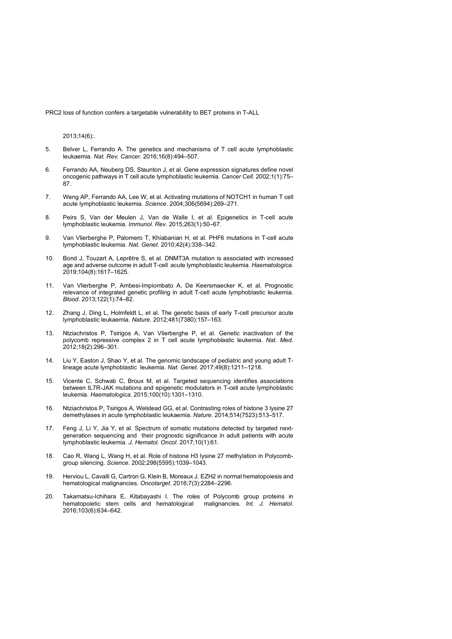2013;14(6):.

- 5. Belver L, Ferrando A. The genetics and mechanisms of T cell acute lymphoblastic leukaemia. *Nat. Rev. Cancer*. 2016;16(8):494–507.
- 6. Ferrando AA, Neuberg DS, Staunton J, et al. Gene expression signatures define novel oncogenic pathways in T cell acute lymphoblastic leukemia. *Cancer Cell*. 2002;1(1):75– 87.
- 7. Weng AP, Ferrando AA, Lee W, et al. Activating mutations of NOTCH1 in human T cell acute lymphoblastic leukemia. *Science*. 2004;306(5694):269–271.
- 8. Peirs S, Van der Meulen J, Van de Walle I, et al. Epigenetics in T-cell acute lymphoblastic leukemia. *Immunol. Rev.* 2015;263(1):50–67.
- 9. Van Vlierberghe P, Palomero T, Khiabanian H, et al. PHF6 mutations in T-cell acute lymphoblastic leukemia. *Nat. Genet.* 2010;42(4):338–342.
- 10. Bond J, Touzart A, Leprêtre S, et al. DNMT3A mutation is associated with increased age and adverse outcome in adult T-cell acute lymphoblastic leukemia. *Haematologica*. 2019;104(8):1617–1625.
- 11. Van Vlierberghe P, Ambesi-Impiombato A, De Keersmaecker K, et al. Prognostic relevance of integrated genetic profiling in adult T-cell acute lymphoblastic leukemia. *Blood*. 2013;122(1):74–82.
- 12. Zhang J, Ding L, Holmfeldt L, et al. The genetic basis of early T-cell precursor acute lymphoblastic leukaemia. *Nature*. 2012;481(7380):157–163.
- 13. Ntziachristos P, Tsirigos A, Van Vlierberghe P, et al. Genetic inactivation of the polycomb repressive complex 2 in T cell acute lymphoblastic leukemia. *Nat. Med.* 2012;18(2):296–301.
- 14. Liu Y, Easton J, Shao Y, et al. The genomic landscape of pediatric and young adult Tlineage acute lymphoblastic leukemia. *Nat. Genet.* 2017;49(8):1211–1218.
- 15. Vicente C, Schwab C, Broux M, et al. Targeted sequencing identifies associations between IL7R-JAK mutations and epigenetic modulators in T-cell acute lymphoblastic leukemia. *Haematologica*. 2015;100(10):1301–1310.
- 16. Ntziachristos P, Tsirigos A, Welstead GG, et al. Contrasting roles of histone 3 lysine 27 demethylases in acute lymphoblastic leukaemia. *Nature*. 2014;514(7523):513–517.
- 17. Feng J, Li Y, Jia Y, et al. Spectrum of somatic mutations detected by targeted nextgeneration sequencing and their prognostic significance in adult patients with acute lymphoblastic leukemia. *J. Hematol. Oncol.* 2017;10(1):61.
- 18. Cao R, Wang L, Wang H, et al. Role of histone H3 lysine 27 methylation in Polycombgroup silencing. *Science*. 2002;298(5595):1039–1043.
- 19. Herviou L, Cavalli G, Cartron G, Klein B, Moreaux J. EZH2 in normal hematopoiesis and hematological malignancies. *Oncotarget*. 2016;7(3):2284–2296.
- 20. Takamatsu-Ichihara E, Kitabayashi I. The roles of Polycomb group proteins in hematopoietic stem cells and hematological malignancies. *Int. J. Hematol.* 2016;103(6):634–642.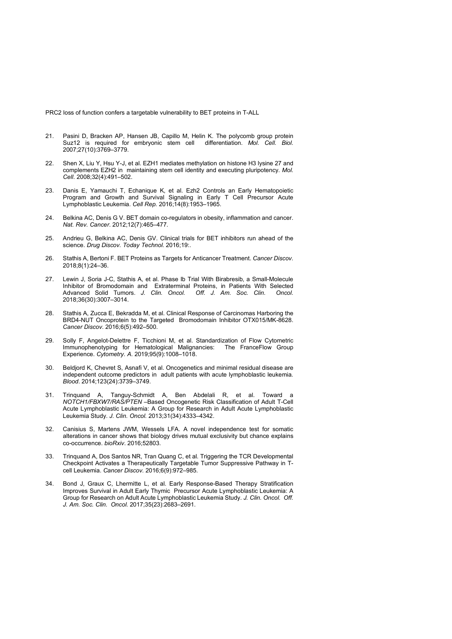- 21. Pasini D, Bracken AP, Hansen JB, Capillo M, Helin K. The polycomb group protein Suz12 is required for embryonic stem cell differentiation. *Mol. Cell. Biol.* 2007;27(10):3769–3779.
- 22. Shen X, Liu Y, Hsu Y-J, et al. EZH1 mediates methylation on histone H3 lysine 27 and complements EZH2 in maintaining stem cell identity and executing pluripotency. *Mol. Cell*. 2008;32(4):491–502.
- 23. Danis E, Yamauchi T, Echanique K, et al. Ezh2 Controls an Early Hematopoietic Program and Growth and Survival Signaling in Early T Cell Precursor Acute Lymphoblastic Leukemia. *Cell Rep.* 2016;14(8):1953–1965.
- 24. Belkina AC, Denis G V. BET domain co-regulators in obesity, inflammation and cancer. *Nat. Rev. Cancer*. 2012;12(7):465–477.
- 25. Andrieu G, Belkina AC, Denis GV. Clinical trials for BET inhibitors run ahead of the science. *Drug Discov. Today Technol.* 2016;19:.
- 26. Stathis A, Bertoni F. BET Proteins as Targets for Anticancer Treatment. *Cancer Discov.* 2018;8(1):24–36.
- 27. Lewin J, Soria J-C, Stathis A, et al. Phase Ib Trial With Birabresib, a Small-Molecule Inhibitor of Bromodomain and Extraterminal Proteins, in Patients With Selected Advanced Solid Tumors. *J. Clin. Oncol. Off. J. Am. Soc. Clin. Oncol.* 2018;36(30):3007–3014.
- 28. Stathis A, Zucca E, Bekradda M, et al. Clinical Response of Carcinomas Harboring the BRD4-NUT Oncoprotein to the Targeted Bromodomain Inhibitor OTX015/MK-8628. *Cancer Discov.* 2016;6(5):492–500.
- 29. Solly F, Angelot-Delettre F, Ticchioni M, et al. Standardization of Flow Cytometric Immunophenotyping for Hematological Malignancies: The FranceFlow Group Experience. *Cytometry. A*. 2019;95(9):1008–1018.
- 30. Beldjord K, Chevret S, Asnafi V, et al. Oncogenetics and minimal residual disease are independent outcome predictors in adult patients with acute lymphoblastic leukemia. *Blood*. 2014;123(24):3739–3749.
- 31. Trinquand A, Tanguy-Schmidt A, Ben Abdelali R, et al. Toward a *NOTCH1/FBXW7/RAS/PTEN* –Based Oncogenetic Risk Classification of Adult T-Cell Acute Lymphoblastic Leukemia: A Group for Research in Adult Acute Lymphoblastic Leukemia Study. *J. Clin. Oncol.* 2013;31(34):4333–4342.
- 32. Canisius S, Martens JWM, Wessels LFA. A novel independence test for somatic alterations in cancer shows that biology drives mutual exclusivity but chance explains co-occurrence. *bioRxiv*. 2016;52803.
- 33. Trinquand A, Dos Santos NR, Tran Quang C, et al. Triggering the TCR Developmental Checkpoint Activates a Therapeutically Targetable Tumor Suppressive Pathway in Tcell Leukemia. *Cancer Discov*. 2016;6(9):972–985.
- 34. Bond J, Graux C, Lhermitte L, et al. Early Response-Based Therapy Stratification Improves Survival in Adult Early Thymic Precursor Acute Lymphoblastic Leukemia: A Group for Research on Adult Acute Lymphoblastic Leukemia Study. *J. Clin. Oncol. Off. J. Am. Soc. Clin. Oncol.* 2017;35(23):2683–2691.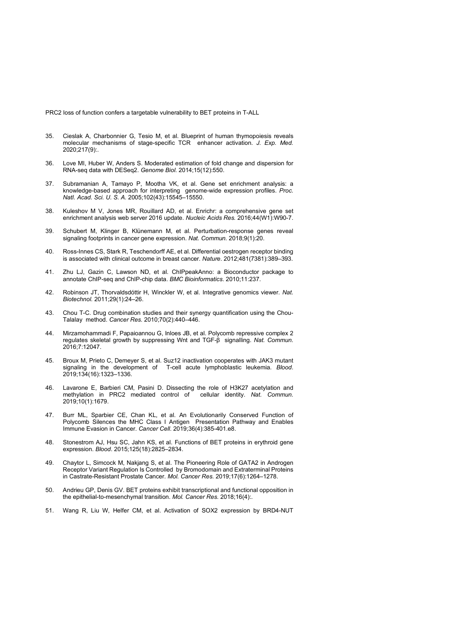- 35. Cieslak A, Charbonnier G, Tesio M, et al. Blueprint of human thymopoiesis reveals molecular mechanisms of stage-specific TCR enhancer activation. *J. Exp. Med.* 2020;217(9):.
- 36. Love MI, Huber W, Anders S. Moderated estimation of fold change and dispersion for RNA-seq data with DESeq2. *Genome Biol.* 2014;15(12):550.
- 37. Subramanian A, Tamayo P, Mootha VK, et al. Gene set enrichment analysis: a knowledge-based approach for interpreting genome-wide expression profiles. *Proc. Natl. Acad. Sci. U. S. A.* 2005;102(43):15545–15550.
- 38. Kuleshov M V, Jones MR, Rouillard AD, et al. Enrichr: a comprehensive gene set enrichment analysis web server 2016 update. *Nucleic Acids Res.* 2016;44(W1):W90-7.
- 39. Schubert M, Klinger B, Klünemann M, et al. Perturbation-response genes reveal signaling footprints in cancer gene expression. *Nat. Commun.* 2018;9(1):20.
- 40. Ross-Innes CS, Stark R, Teschendorff AE, et al. Differential oestrogen receptor binding is associated with clinical outcome in breast cancer. *Nature*. 2012;481(7381):389–393.
- 41. Zhu LJ, Gazin C, Lawson ND, et al. ChIPpeakAnno: a Bioconductor package to annotate ChIP-seq and ChIP-chip data. *BMC Bioinformatics*. 2010;11:237.
- 42. Robinson JT, Thorvaldsdóttir H, Winckler W, et al. Integrative genomics viewer. *Nat. Biotechnol.* 2011;29(1):24–26.
- 43. Chou T-C. Drug combination studies and their synergy quantification using the Chou-Talalay method. *Cancer Res.* 2010;70(2):440–446.
- 44. Mirzamohammadi F, Papaioannou G, Inloes JB, et al. Polycomb repressive complex 2 regulates skeletal growth by suppressing Wnt and TGF-β signalling. *Nat. Commun.* 2016;7:12047.
- 45. Broux M, Prieto C, Demeyer S, et al. Suz12 inactivation cooperates with JAK3 mutant signaling in the development of T-cell acute lymphoblastic leukemia. *Blood*. 2019;134(16):1323–1336.
- 46. Lavarone E, Barbieri CM, Pasini D. Dissecting the role of H3K27 acetylation and methylation in PRC2 mediated control of cellular identity. *Nat. Commun.* 2019;10(1):1679.
- 47. Burr ML, Sparbier CE, Chan KL, et al. An Evolutionarily Conserved Function of Polycomb Silences the MHC Class I Antigen Presentation Pathway and Enables Immune Evasion in Cancer. *Cancer Cell*. 2019;36(4):385-401.e8.
- 48. Stonestrom AJ, Hsu SC, Jahn KS, et al. Functions of BET proteins in erythroid gene expression. *Blood*. 2015;125(18):2825–2834.
- 49. Chaytor L, Simcock M, Nakjang S, et al. The Pioneering Role of GATA2 in Androgen Receptor Variant Regulation Is Controlled by Bromodomain and Extraterminal Proteins in Castrate-Resistant Prostate Cancer. *Mol. Cancer Res.* 2019;17(6):1264–1278.
- 50. Andrieu GP, Denis GV. BET proteins exhibit transcriptional and functional opposition in the epithelial-to-mesenchymal transition. *Mol. Cancer Res.* 2018;16(4):.
- 51. Wang R, Liu W, Helfer CM, et al. Activation of SOX2 expression by BRD4-NUT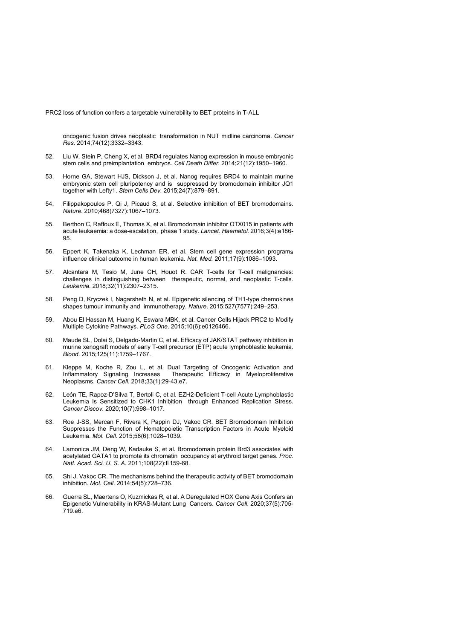oncogenic fusion drives neoplastic transformation in NUT midline carcinoma. *Cancer Res.* 2014;74(12):3332–3343.

- 52. Liu W, Stein P, Cheng X, et al. BRD4 regulates Nanog expression in mouse embryonic stem cells and preimplantation embryos. *Cell Death Differ.* 2014;21(12):1950–1960.
- 53. Horne GA, Stewart HJS, Dickson J, et al. Nanog requires BRD4 to maintain murine embryonic stem cell pluripotency and is suppressed by bromodomain inhibitor JQ1 together with Lefty1. *Stem Cells Dev.* 2015;24(7):879–891.
- 54. Filippakopoulos P, Qi J, Picaud S, et al. Selective inhibition of BET bromodomains. *Nature*. 2010;468(7327):1067–1073.
- 55. Berthon C, Raffoux E, Thomas X, et al. Bromodomain inhibitor OTX015 in patients with acute leukaemia: a dose-escalation, phase 1 study. *Lancet. Haematol.* 2016;3(4):e186- 95.
- 56. Eppert K, Takenaka K, Lechman ER, et al. Stem cell gene expression programs influence clinical outcome in human leukemia. *Nat. Med.* 2011;17(9):1086–1093.
- 57. Alcantara M, Tesio M, June CH, Houot R. CAR T-cells for T-cell malignancies: challenges in distinguishing between therapeutic, normal, and neoplastic T-cells. *Leukemia*. 2018;32(11):2307–2315.
- 58. Peng D, Kryczek I, Nagarsheth N, et al. Epigenetic silencing of TH1-type chemokines shapes tumour immunity and immunotherapy. *Nature*. 2015;527(7577):249–253.
- 59. Abou El Hassan M, Huang K, Eswara MBK, et al. Cancer Cells Hijack PRC2 to Modify Multiple Cytokine Pathways. *PLoS One*. 2015;10(6):e0126466.
- 60. Maude SL, Dolai S, Delgado-Martin C, et al. Efficacy of JAK/STAT pathway inhibition in murine xenograft models of early T-cell precursor (ETP) acute lymphoblastic leukemia. *Blood*. 2015;125(11):1759–1767.
- 61. Kleppe M, Koche R, Zou L, et al. Dual Targeting of Oncogenic Activation and Inflammatory Signaling Increases Therapeutic Efficacy in Myeloproliferative Neoplasms. *Cancer Cell*. 2018;33(1):29-43.e7.
- 62. León TE, Rapoz-D'Silva T, Bertoli C, et al. EZH2-Deficient T-cell Acute Lymphoblastic Leukemia Is Sensitized to CHK1 Inhibition through Enhanced Replication Stress. *Cancer Discov.* 2020;10(7):998–1017.
- 63. Roe J-SS, Mercan F, Rivera K, Pappin DJ, Vakoc CR. BET Bromodomain Inhibition Suppresses the Function of Hematopoietic Transcription Factors in Acute Myeloid Leukemia. *Mol. Cell*. 2015;58(6):1028–1039.
- 64. Lamonica JM, Deng W, Kadauke S, et al. Bromodomain protein Brd3 associates with acetylated GATA1 to promote its chromatin occupancy at erythroid target genes. *Proc. Natl. Acad. Sci. U. S. A.* 2011;108(22):E159-68.
- 65. Shi J, Vakoc CR. The mechanisms behind the therapeutic activity of BET bromodomain inhibition. *Mol. Cell*. 2014;54(5):728–736.
- 66. Guerra SL, Maertens O, Kuzmickas R, et al. A Deregulated HOX Gene Axis Confers an Epigenetic Vulnerability in KRAS-Mutant Lung Cancers. *Cancer Cell*. 2020;37(5):705- 719.e6.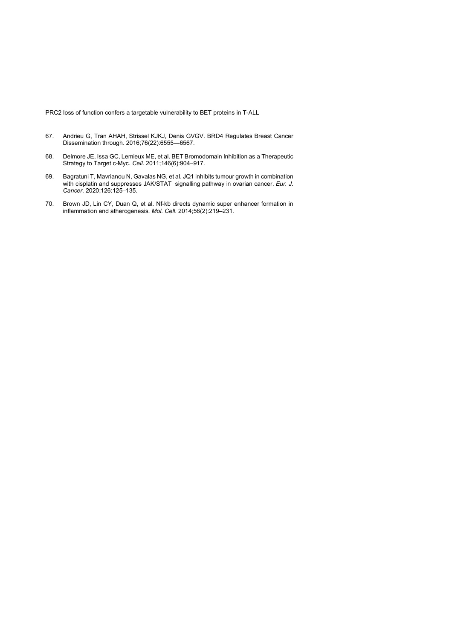- 67. Andrieu G, Tran AHAH, Strissel KJKJ, Denis GVGV. BRD4 Regulates Breast Cancer Dissemination through. 2016;76(22):6555—6567.
- 68. Delmore JE, Issa GC, Lemieux ME, et al. BET Bromodomain Inhibition as a Therapeutic Strategy to Target c-Myc. *Cell*. 2011;146(6):904–917.
- 69. Bagratuni T, Mavrianou N, Gavalas NG, et al. JQ1 inhibits tumour growth in combination with cisplatin and suppresses JAK/STAT signalling pathway in ovarian cancer. *Eur. J. Cancer*. 2020;126:125–135.
- 70. Brown JD, Lin CY, Duan Q, et al. Nf-kb directs dynamic super enhancer formation in inflammation and atherogenesis. *Mol. Cell*. 2014;56(2):219–231.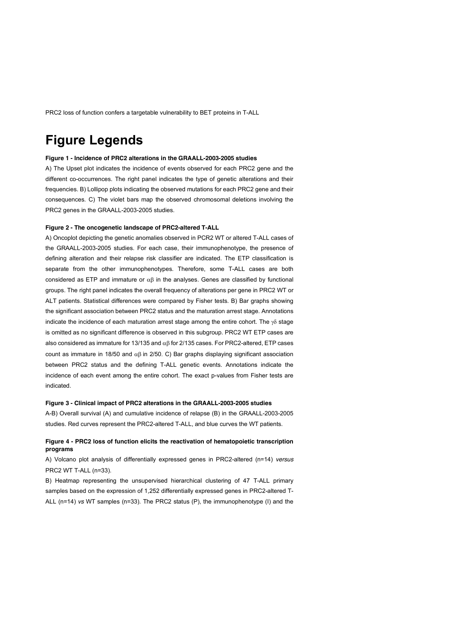## **Figure Legends**

### **Figure 1 - Incidence of PRC2 alterations in the GRAALL-2003-2005 studies**

A) The Upset plot indicates the incidence of events observed for each PRC2 gene and the different co-occurrences. The right panel indicates the type of genetic alterations and their frequencies. B) Lollipop plots indicating the observed mutations for each PRC2 gene and their consequences. C) The violet bars map the observed chromosomal deletions involving the PRC2 genes in the GRAALL-2003-2005 studies.

### **Figure 2 - The oncogenetic landscape of PRC2-altered T-ALL**

A) Oncoplot depicting the genetic anomalies observed in PCR2 WT or altered T-ALL cases of the GRAALL-2003-2005 studies. For each case, their immunophenotype, the presence of defining alteration and their relapse risk classifier are indicated. The ETP classification is separate from the other immunophenotypes. Therefore, some T-ALL cases are both considered as ETP and immature or  $\alpha\beta$  in the analyses. Genes are classified by functional groups. The right panel indicates the overall frequency of alterations per gene in PRC2 WT or ALT patients. Statistical differences were compared by Fisher tests. B) Bar graphs showing the significant association between PRC2 status and the maturation arrest stage. Annotations indicate the incidence of each maturation arrest stage among the entire cohort. The  $\gamma\delta$  stage is omitted as no significant difference is observed in this subgroup. PRC2 WT ETP cases are also considered as immature for 13/135 and  $\alpha\beta$  for 2/135 cases. For PRC2-altered, ETP cases count as immature in 18/50 and  $\alpha$ B in 2/50. C) Bar graphs displaying significant association between PRC2 status and the defining T-ALL genetic events. Annotations indicate the incidence of each event among the entire cohort. The exact p-values from Fisher tests are indicated.

#### **Figure 3 - Clinical impact of PRC2 alterations in the GRAALL-2003-2005 studies**

A-B) Overall survival (A) and cumulative incidence of relapse (B) in the GRAALL-2003-2005 studies. Red curves represent the PRC2-altered T-ALL, and blue curves the WT patients.

### **Figure 4 - PRC2 loss of function elicits the reactivation of hematopoietic transcription programs**

A) Volcano plot analysis of differentially expressed genes in PRC2-altered (n=14) *versus* PRC2 WT T-ALL (n=33).

B) Heatmap representing the unsupervised hierarchical clustering of 47 T-ALL primary samples based on the expression of 1,252 differentially expressed genes in PRC2-altered T-ALL (n=14) *vs* WT samples (n=33). The PRC2 status (P), the immunophenotype (I) and the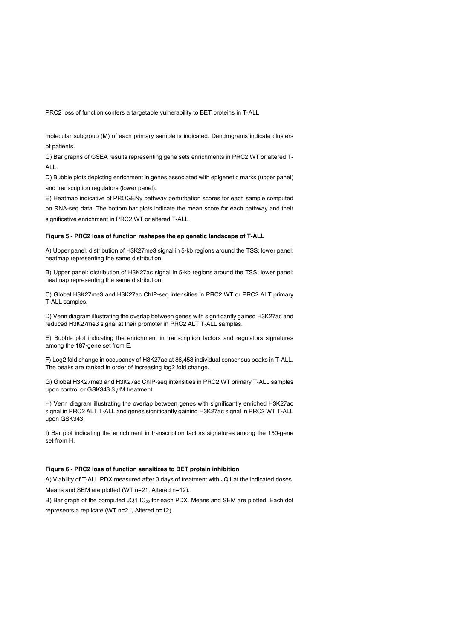molecular subgroup (M) of each primary sample is indicated. Dendrograms indicate clusters of patients.

C) Bar graphs of GSEA results representing gene sets enrichments in PRC2 WT or altered T-ALL.

D) Bubble plots depicting enrichment in genes associated with epigenetic marks (upper panel) and transcription regulators (lower panel).

E) Heatmap indicative of PROGENy pathway perturbation scores for each sample computed on RNA-seq data. The bottom bar plots indicate the mean score for each pathway and their significative enrichment in PRC2 WT or altered T-ALL.

#### **Figure 5 - PRC2 loss of function reshapes the epigenetic landscape of T-ALL**

A) Upper panel: distribution of H3K27me3 signal in 5-kb regions around the TSS; lower panel: heatmap representing the same distribution.

B) Upper panel: distribution of H3K27ac signal in 5-kb regions around the TSS; lower panel: heatmap representing the same distribution.

C) Global H3K27me3 and H3K27ac ChIP-seq intensities in PRC2 WT or PRC2 ALT primary T-ALL samples.

D) Venn diagram illustrating the overlap between genes with significantly gained H3K27ac and reduced H3K27me3 signal at their promoter in PRC2 ALT T-ALL samples.

E) Bubble plot indicating the enrichment in transcription factors and regulators signatures among the 187-gene set from E.

F) Log2 fold change in occupancy of H3K27ac at 86,453 individual consensus peaks in T-ALL. The peaks are ranked in order of increasing log2 fold change.

G) Global H3K27me3 and H3K27ac ChIP-seq intensities in PRC2 WT primary T-ALL samples upon control or GSK343 3  $\mu$ M treatment.

H) Venn diagram illustrating the overlap between genes with significantly enriched H3K27ac signal in PRC2 ALT T-ALL and genes significantly gaining H3K27ac signal in PRC2 WT T-ALL upon GSK343.

I) Bar plot indicating the enrichment in transcription factors signatures among the 150-gene set from H.

### **Figure 6 - PRC2 loss of function sensitizes to BET protein inhibition**

A) Viability of T-ALL PDX measured after 3 days of treatment with JQ1 at the indicated doses. Means and SEM are plotted (WT n=21, Altered n=12).

B) Bar graph of the computed JQ1 IC<sub>50</sub> for each PDX. Means and SEM are plotted. Each dot represents a replicate (WT n=21, Altered n=12).